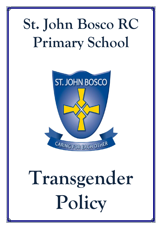## **St. John Bosco RC Primary School**



# **Transgender Policy**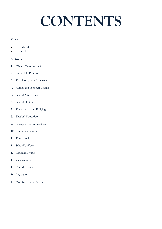### **CONTENTS**

### **Policy**

- Introduction
- Principles

### **Sections**

- 1. What is Transgender?
- 2. Early Help Process
- 3. Terminology and Language
- 4. Names and Pronoun Change
- 5. School Attendance
- 6. School Photos
- 7. Transphobia and Bullying
- 8. Physical Education
- 9. Changing Room Facilities
- 10. Swimming Lessons
- 11. Toilet Facilities
- 12. School Uniform
- 13. Residential Visits
- 14. Vaccinations
- 15. Confidentiality
- 16. Legislation
- 17. Monitoring and Review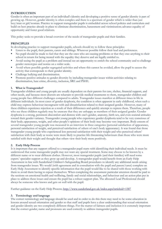### **INTRODUCTION**

Gender is often an important part of an individual's identity and developing a positive sense of gender identity is part of growing up. However, gender identity is often complex and there is a spectrum of gender which is wider than just boy/man or girl/woman. Practice to support transgender pupils is embedded across school policies and curriculum and build on best practice already in place to eliminate discrimination, harassment and victimisation; advance equality of opportunity and foster good relations.

This policy seeks to provide a broad overview of the needs of transgender pupils and their families.

### **PRINCIPLES**

In developing practice to support transgender pupils, schools should try to follow these principles:

- Listen to the pupil, their parents, carers and siblings. Wherever possible follow their lead and preferences.
- No pupil should be made to feel that they are the ones who are causing problems or that they owe anything to their school in return for being treated with the equality they deserve and are legally entitled to.
- Avoid seeing the pupil as a problem and instead see an opportunity to enrich the school community and to challenge gender stereotypes and norms on a wider scale.
- Avoid where possible gender segregated activities and where this cannot be avoided, allow the pupil to access the activity that corresponds to their gender identity.
- Challenge bullying and discrimination.
- **Promote positive attitudes to gender diversity by including transgender issues within activities relating to** discrimination, hate crime, diversity, inclusion, SRE and PSHE.

### **1. What is Transgender?**

Transgender children and young people are usually dependent on their parents for care, shelter, financial support, and other needs, and because most doctors are reluctant to provide medical treatments to them, transgender children and young people face different challenges compared to adults. Transgender issues manifest at different times in life in different individuals. In most cases of gender dysphoria, the condition is often apparent in early childhood, when such a child may express behaviour incongruent with and dissatisfaction related to their assigned gender. However, many of these children experience rejection as a result of their differences and quickly attempt to repress them. Therefore, people who see these children regularly may be unaware that they are unhappy as members of their assigned gender. Gender dysphoria is a strong, persistent discomfort and distress with one's gender, anatomy, birth sex, and even societal attitudes toward their gender variance. Transgender young people who experience gender dysphoria tend to be very conscious of their body; appearance, weight, and other people's opinions of their body may become very important. Body esteem of several transgender young people was measured in an interview in three categories (personal satisfaction of appearance, personal satisfaction of weight, and perceived satisfaction of others of one's body appearance). It was found that those transgender young people who experienced less personal satisfaction with their weight and who perceived others' satisfaction with their body as worse were more likely to practice life threatening behaviours than those who were more satisfied with their weight and thought that others view their body more positively.

### **2. Early Help Process**

It is important that any support offered to a transgender pupil starts with identifying their individual needs. It must be understood that some transgender pupils may not want any special treatment. Some may choose to be known by a different name or to wear different clothes. However, most transgender pupils (and their families) will need some expert/ specialist support as they grow up and develop. A transgender pupil would benefit from an Early Help Assessment in line with Sunderland Children's Safeguarding Board procedures to identify any additional needs arising from transgender issues. We would (with agreement and in consultation with the pupil and parent/carer) complete an Early Help Assessment to identify specific information that the pupil would like to be shared with those working with them to avoid them having to repeat themselves. When completing the assessment particular attention should be paid to the sections on emotional health and wellbeing, family and social relationships, and behaviour and an action plan put in place to address these issues and ensure the pupil has a robust support plan. The allocated Lead Professional should always be someone who knows and gets on well with the pupil.

Further guidance on the Early Help Process;<http://www.sunderland.gov.uk/index.aspx?articleid=1587>

### **3. Terminology and language**

The correct terminology and language should be used and in order to do this there may need to be some education in lessons around sexual orientation and gender so that staff and pupils have a clear understanding that sexual orientation and gender identity are two completely different things. For the matter of fairness and inclusion it is extremely important that the correct gender, name and pronouns are used correctly to address transgender pupils.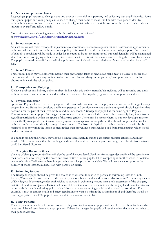### **4. Names and pronoun change**

Respecting a pupil request to change name and pronoun is crucial in supporting and validating that pupil's identity. Some transgender pupils and young people may wish to change their name to make it in line with their gender identity. Although they may not have changed their name legally, individuals have the right to choose the name by which they are known to by staff and fellow pupils.

More information on changing names on birth certificates can be found at [www.deedpoll.org.uk/CanABirthCertificateBeChanged.html](http://www.deedpoll.org.uk/CanABirthCertificateBeChanged.html)

### **5. School Attendance**

As a school we will make reasonable adjustments to accommodate absence requests for any treatment or appointments with external sources in line with our absence policy. It is possible that the pupil may be accessing support from outside of school so provision will be made in order for the pupil to be absent from school but confidentiality will be maintained at all times when complying with absence procedures. Sensitive care will be taken when recording the reason for absence. The pupil may need time off for a medical appointment and it should be recorded as an M code rather than being off sick.

### **6. School Photos**

Transgender pupils may feel fine with having their photograph taken at school but steps must be taken to ensure that these images do not reveal any confidential information. We will always seeks parental/carer permission to publish photos in line with the school policy.

### **7. Transphobia and Bullying**

We have a robust anti-bullying policy in place. In line with this policy, transphobia incidents will be recorded and dealt with in the same manner as other incidents that are motivated by prejudice, e.g. racist or homophobic incidents.

### **8. Physical Education**

Sports and Physical Education is a key aspect of the national curriculum and the physical and mental wellbeing of young people. Physical Education develops pupil's competence and confidence to take part in a range of physical activities that become a central part of their lives, both in and out of school. A transgender pupil has the same right to Physical Education as any other pupil. With regard to transgender pupils at school, there should be reasonably few, if any, issues regarding participation within the sports of their true gender. There may be sports where, as puberty develops, male to female (M2F) transgender pupils may have a physical advantage over other girls but this should not present a problem within a carefully and sensitively managed lesson context. The issue of physical risk within certain sports will also be managed properly within the lesson context rather than preventing a transgender pupil from participating (which would be discriminatory).

If a pupil is binding their chest, they should be monitored carefully during particularly physical activities and in hot weather. There is a chance that the binding could cause discomfort or even impair breathing. Short breaks from activity could be offered discretely.

### **9. Changing Room Facilities**

The use of changing room facilities will also be carefully considered. Facilities for transgender pupils will be sensitive to their needs and also recognise the needs and sensitivities of other pupils. When competing at another school or outside venue, school staff will ensure there is appropriate sensitive provision available. We will take a view on prior to the delivery of those lessons, in discussion with parents or carers.

### **10. Swimming lessons**

The transgender pupil should be given the choice as to whether they wish to partake in swimming lessons or not. Parents/Carers will be made aware of the statutory responsibility for all children to be able to swim 25 metres by the end of Key Stage 2. If the transgender pupil wishes to partake in swimming lessons then a risk assessment of the changing facilities should be completed. There must be careful consideration, in consultation with the pupil and parents/cares and in line with the health and safety policy of the leisure centre or swimming pools health and safety procedures. For example, it may be against health and safety regulations to wear a t-shirt in the swimming pool and therefore would be more appropriate for a F2M pupil to wear an all in one wetsuit or similar.

### **11. Toilet Facilities**

There is provision in school for unisex toilets. If they wish to, transgender pupils will be able to use these facilities which have been labelled sensitively and appropriately. Otherwise transgender pupils will use the toilets that are appropriate to their gender identity.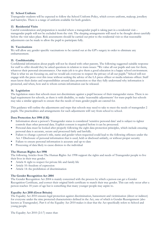### **12. School Uniform**

Transgender students will be expected to follow the School Uniform Policy, which covers uniform, makeup, jewellery and hairstyles. There is a range of uniform available for both genders.

### **13. Residential Visits**

Careful consideration and preparation is needed where a transgender pupil is taking part in a residential visit – transgender pupils will not be excluded from the visit. The sleeping arrangements will need to be thought about carefully before the visit takes place. Risk assessments should be carried out prior to the residential visit so that reasonable adjustments can be made to allow the pupil to participate fully.

### **14. Vaccinations**

We will allow any gender specific vaccinations to be carried out at the GP's surgery in order to eliminate any embarrassment.

### **15. Confidentiality**

Confidential information about pupils will not be shared with other parents. The following suggested suitable response for staff to offer should they be asked questions in relation to trans issues: "We value all our pupils and care for them, whatever their personal circumstances. Our main job is to give them a good education in a happy school environment. That is what we are focusing on, and we would ask everyone to respect the privacy of all our pupils." School will not engage with the press over this issue without seeking the advice of the LA press officer or media relations officer. Staff must know their duties and responsibilities around data protection so that they fully understand why information is protected, and when, how and to whom certain information can be released.

### **16. Legislation**

The legislation states that schools must not discriminate against a pupil because of their transgender status. There is no legal requirement for schools, as there is with disability, to make 'reasonable adjustments' for trans pupils but schools may take a similar approach to ensure that the needs of trans gender pupils are catered for.

This guidance will outline the adjustments and steps that schools may need to take to meet the needs of transgender 2 pupils. The practicalities and arrangements for such adjustments will vary from school to school.

### **Data Protection Act 1998 (UK)**

- Information about a person's Transgender status is considered 'sensitive personal data' and is subject to tighter controls than other personal data. Explicit consent is required before it can be processed.
- Personal data must be looked after properly following the eight data protection principles, which include ensuring personal data is accurate, secure and processed fairly and lawfully.
- Failure to change a person's title, name and gender when requested could lead to the following offences under the Act. • Disclosure of personal information that is used, held or disclosed unfairly, or without proper security
- Failure to ensure personal information is accurate and up-to-date
- Processing of data likely to cause distress to the individual

### **The Human Rights Act 1998**

The following Articles from The Human Rights Act 1998 support the rights and needs of Transgender people to live their lives in their true gender.

- Article 8: right to respect for private life and family life
- Article 10: freedom of expression
- Article 14: the prohibition of discrimination

### **The Gender Recognition Act 2004**

The Gender Recognition Act 2004 is mainly concerned with the process by which a person can get a Gender Recognition Certificate, and correct their original birth certificate to match their true gender. This can only occur after a person reaches 18 years of age but is something that many younger people may aspire to.

### **Equality Act 2010 (Great Britain)**

The Equality Act 2010 ensures legal protection against discrimination, harassment and victimisation (direct or indirect) for everyone under the nine protected characteristics defined in the Act, one of which is Gender Reassignment (also known as Transgender). Part 6 of the Equality Act 2010 makes it clear that the Act specifically refers to School and young people.

The Equality Act 2010 (2:1:7) states that: